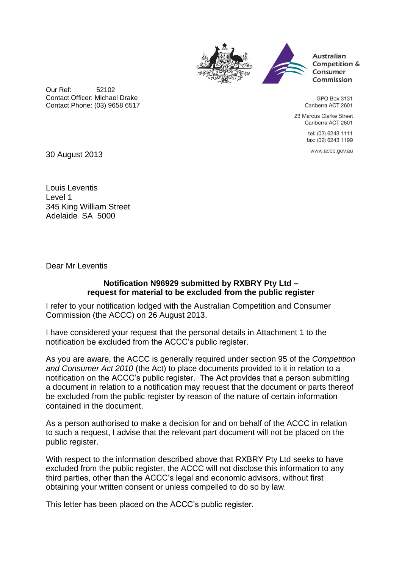



Australian Competition & Consumer Commission

Our Ref: 52102 Contact Officer: Michael Drake Contact Phone: (03) 9658 6517

**GPO Box 3131** Canberra ACT 2601

23 Marcus Clarke Street Canberra ACT 2601

> tel: (02) 6243 1111 fax: (02) 6243 1199

> > www.accc.gov.au

30 August 2013

Louis Leventis Level 1 345 King William Street Adelaide SA 5000

Dear Mr Leventis

## **Notification N96929 submitted by RXBRY Pty Ltd – request for material to be excluded from the public register**

I refer to your notification lodged with the Australian Competition and Consumer Commission (the ACCC) on 26 August 2013.

I have considered your request that the personal details in Attachment 1 to the notification be excluded from the ACCC's public register.

As you are aware, the ACCC is generally required under section 95 of the *Competition and Consumer Act 2010* (the Act) to place documents provided to it in relation to a notification on the ACCC's public register. The Act provides that a person submitting a document in relation to a notification may request that the document or parts thereof be excluded from the public register by reason of the nature of certain information contained in the document.

As a person authorised to make a decision for and on behalf of the ACCC in relation to such a request, I advise that the relevant part document will not be placed on the public register.

With respect to the information described above that RXBRY Pty Ltd seeks to have excluded from the public register, the ACCC will not disclose this information to any third parties, other than the ACCC's legal and economic advisors, without first obtaining your written consent or unless compelled to do so by law.

This letter has been placed on the ACCC's public register.